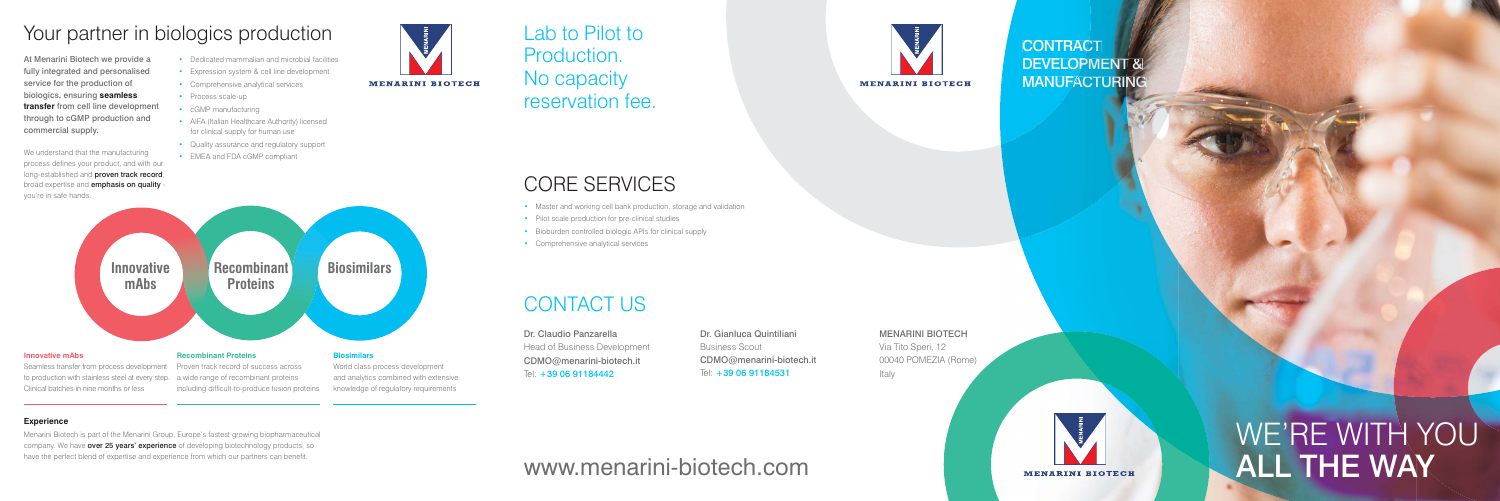## CONTACT US

We understand that the manufacturing process defines your product, and with our long-established and **proven track record**, broad expertise and **emphasis on quality** you're in safe hands.

# Your partner in biologics production

At Menarini Biotech we provide a fully integrated and personalised service for the production of biologics, ensuring **seamless transfer** from cell line development through to cGMP production and commercial supply.

- Dedicated mammalian and microbial facilities
- Expression system & cell line development
- Comprehensive analytical services
- Process scale-up
- cGMP manufacturing
- AIFA (Italian Healthcare Authority) licensed for clinical supply for human use
- Quality assurance and regulatory support
- EMEA and FDA cGMP compliant

Menarini Biotech is part of the Menarini Group, Europe's fastest growing biopharmaceutical company. We have **over 25 years' experience** of developing biotechnology products, so have the perfect blend of expertise and experience from which our partners can benefit.

Dr. Claudio Panzarella Head of Business Development CDMO@menarini-biotech.it Tel: +39 06 91184442

#### **Experience**

knowledge of regulatory requirements

**MENARINI BIOTECH** 

Clinical batches in nine months or less



including difficult-to-produce fusion proteins

## Lab to Pilot to Production. No capacity reservation fee.

# CORE SERVICES

- Master and working cell bank production, storage and validation
- Pilot scale production for pre-clinical studies
- Bioburden controlled biologic APIs for clinical supply
- Comprehensive analytical services

# www.menarini-biotech.com



### **CONTRACT** CONTRACT<br>DEVELOPMENT & **MANUFACTURING**

MENARINI BIOTECH Via Tito Speri, 12 00040 POMEZIA (Rome) Italy



Dr. Gianluca Quintiliani Business Scout CDMO@menarini-biotech.it Tel: +39 06 91184531

# WE'RE WITH YOU ALL THE WAY